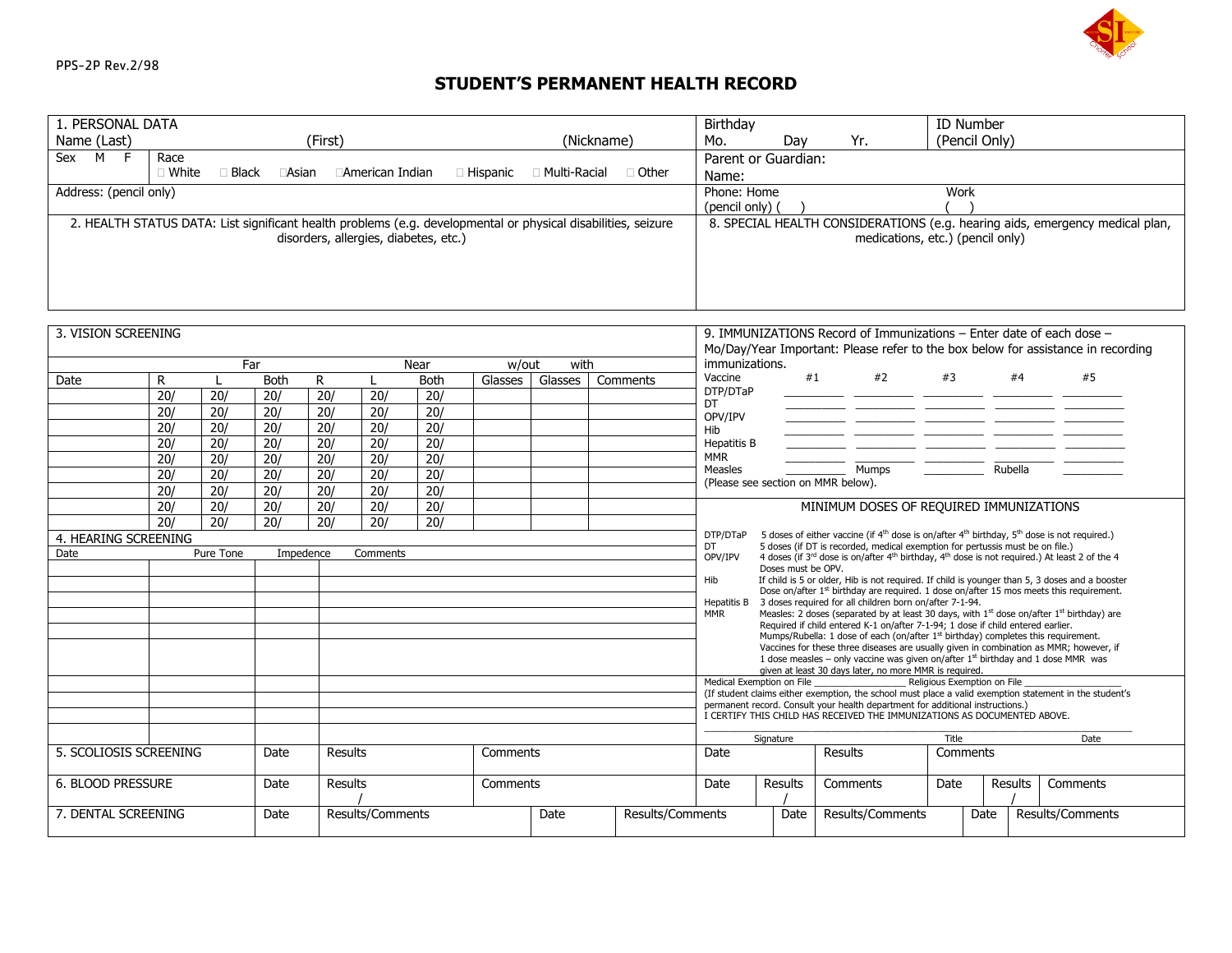

## **STUDENT'S PERMANENT HEALTH RECORD**

| 1. PERSONAL DATA                                                                                              |         |                  |                  |                  |                  |                                    |                                                                                                                                                                                         |                 |                                  | Birthday                                                                                                                                                                                                                                                                           |                                                                                                                                   |    |                                                                                                                                                            |                                                                                                            | ID Number |         |                                                                                                         |  |
|---------------------------------------------------------------------------------------------------------------|---------|------------------|------------------|------------------|------------------|------------------------------------|-----------------------------------------------------------------------------------------------------------------------------------------------------------------------------------------|-----------------|----------------------------------|------------------------------------------------------------------------------------------------------------------------------------------------------------------------------------------------------------------------------------------------------------------------------------|-----------------------------------------------------------------------------------------------------------------------------------|----|------------------------------------------------------------------------------------------------------------------------------------------------------------|------------------------------------------------------------------------------------------------------------|-----------|---------|---------------------------------------------------------------------------------------------------------|--|
| Name (Last)<br>(First)<br>(Nickname)                                                                          |         |                  |                  |                  |                  | Mo.<br>(Pencil Only)<br>Day<br>Yr. |                                                                                                                                                                                         |                 |                                  |                                                                                                                                                                                                                                                                                    |                                                                                                                                   |    |                                                                                                                                                            |                                                                                                            |           |         |                                                                                                         |  |
| Sex $M \tF$                                                                                                   | Race    |                  |                  |                  |                  |                                    |                                                                                                                                                                                         |                 |                                  |                                                                                                                                                                                                                                                                                    | Parent or Guardian:                                                                                                               |    |                                                                                                                                                            |                                                                                                            |           |         |                                                                                                         |  |
|                                                                                                               | □ White | $\Box$ Black     | □Asian           |                  | □American Indian |                                    | □ Hispanic                                                                                                                                                                              | □ Multi-Racial  | ∩ Other                          | Name:                                                                                                                                                                                                                                                                              |                                                                                                                                   |    |                                                                                                                                                            |                                                                                                            |           |         |                                                                                                         |  |
| Address: (pencil only)                                                                                        |         |                  |                  |                  |                  |                                    |                                                                                                                                                                                         |                 | Phone: Home<br>Work              |                                                                                                                                                                                                                                                                                    |                                                                                                                                   |    |                                                                                                                                                            |                                                                                                            |           |         |                                                                                                         |  |
|                                                                                                               |         |                  |                  |                  |                  |                                    |                                                                                                                                                                                         | (pencil only) ( |                                  |                                                                                                                                                                                                                                                                                    |                                                                                                                                   |    |                                                                                                                                                            |                                                                                                            |           |         |                                                                                                         |  |
| 2. HEALTH STATUS DATA: List significant health problems (e.g. developmental or physical disabilities, seizure |         |                  |                  |                  |                  |                                    |                                                                                                                                                                                         |                 |                                  | 8. SPECIAL HEALTH CONSIDERATIONS (e.g. hearing aids, emergency medical plan,                                                                                                                                                                                                       |                                                                                                                                   |    |                                                                                                                                                            |                                                                                                            |           |         |                                                                                                         |  |
| disorders, allergies, diabetes, etc.)                                                                         |         |                  |                  |                  |                  |                                    |                                                                                                                                                                                         |                 | medications, etc.) (pencil only) |                                                                                                                                                                                                                                                                                    |                                                                                                                                   |    |                                                                                                                                                            |                                                                                                            |           |         |                                                                                                         |  |
|                                                                                                               |         |                  |                  |                  |                  |                                    |                                                                                                                                                                                         |                 |                                  |                                                                                                                                                                                                                                                                                    |                                                                                                                                   |    |                                                                                                                                                            |                                                                                                            |           |         |                                                                                                         |  |
|                                                                                                               |         |                  |                  |                  |                  |                                    |                                                                                                                                                                                         |                 |                                  |                                                                                                                                                                                                                                                                                    |                                                                                                                                   |    |                                                                                                                                                            |                                                                                                            |           |         |                                                                                                         |  |
|                                                                                                               |         |                  |                  |                  |                  |                                    |                                                                                                                                                                                         |                 |                                  |                                                                                                                                                                                                                                                                                    |                                                                                                                                   |    |                                                                                                                                                            |                                                                                                            |           |         |                                                                                                         |  |
|                                                                                                               |         |                  |                  |                  |                  |                                    |                                                                                                                                                                                         |                 |                                  |                                                                                                                                                                                                                                                                                    |                                                                                                                                   |    |                                                                                                                                                            |                                                                                                            |           |         |                                                                                                         |  |
| 3. VISION SCREENING                                                                                           |         |                  |                  |                  |                  |                                    |                                                                                                                                                                                         |                 |                                  |                                                                                                                                                                                                                                                                                    |                                                                                                                                   |    |                                                                                                                                                            |                                                                                                            |           |         |                                                                                                         |  |
|                                                                                                               |         |                  |                  |                  |                  |                                    |                                                                                                                                                                                         |                 |                                  | 9. IMMUNIZATIONS Record of Immunizations – Enter date of each dose –<br>Mo/Day/Year Important: Please refer to the box below for assistance in recording                                                                                                                           |                                                                                                                                   |    |                                                                                                                                                            |                                                                                                            |           |         |                                                                                                         |  |
|                                                                                                               |         | Far              |                  |                  |                  | Near                               | w/out                                                                                                                                                                                   | with            |                                  | immunizations.                                                                                                                                                                                                                                                                     |                                                                                                                                   |    |                                                                                                                                                            |                                                                                                            |           |         |                                                                                                         |  |
| Date                                                                                                          | R       |                  | <b>Both</b>      | R                |                  | <b>Both</b>                        | Glasses                                                                                                                                                                                 | Glasses         | Comments                         | Vaccine                                                                                                                                                                                                                                                                            |                                                                                                                                   | #1 | #2                                                                                                                                                         | #3                                                                                                         |           | #4      | #5                                                                                                      |  |
|                                                                                                               | 20/     | 20/              | 20/              | $\overline{20/}$ | 20/              | $\overline{20/}$                   |                                                                                                                                                                                         |                 |                                  | DTP/DTaP                                                                                                                                                                                                                                                                           |                                                                                                                                   |    |                                                                                                                                                            |                                                                                                            |           |         |                                                                                                         |  |
|                                                                                                               | 20/     | 20/              | 20/              | 20/              | 20/              | $\overline{20/}$                   |                                                                                                                                                                                         |                 |                                  | DT<br>OPV/IPV                                                                                                                                                                                                                                                                      |                                                                                                                                   |    |                                                                                                                                                            |                                                                                                            |           |         |                                                                                                         |  |
|                                                                                                               | 20/     | 20/              | 20/              | $\overline{20/}$ | 20/              | 20/                                |                                                                                                                                                                                         |                 |                                  | Hib                                                                                                                                                                                                                                                                                |                                                                                                                                   |    |                                                                                                                                                            |                                                                                                            |           |         |                                                                                                         |  |
|                                                                                                               | 20/     | 20/              | 20/              | 20/              | 20/              | 20/                                |                                                                                                                                                                                         |                 |                                  | Hepatitis B                                                                                                                                                                                                                                                                        |                                                                                                                                   |    |                                                                                                                                                            |                                                                                                            |           |         |                                                                                                         |  |
|                                                                                                               | 20/     | $\overline{20/}$ | 20/              | 20/              | $\overline{20/}$ | 20/                                |                                                                                                                                                                                         |                 |                                  | <b>MMR</b>                                                                                                                                                                                                                                                                         |                                                                                                                                   |    |                                                                                                                                                            |                                                                                                            |           |         |                                                                                                         |  |
|                                                                                                               | 20/     | 20/              | 20/              | 20/              | 20/              | 20/                                |                                                                                                                                                                                         |                 |                                  | <b>Measles</b>                                                                                                                                                                                                                                                                     | (Please see section on MMR below).                                                                                                |    | Mumps                                                                                                                                                      |                                                                                                            |           | Rubella |                                                                                                         |  |
|                                                                                                               | 20/     | 20/              | 20/              | 20/              | 20/              | 20/                                |                                                                                                                                                                                         |                 |                                  |                                                                                                                                                                                                                                                                                    |                                                                                                                                   |    |                                                                                                                                                            |                                                                                                            |           |         |                                                                                                         |  |
|                                                                                                               | 20/     | 20/              | $\overline{20/}$ | $\overline{20/}$ | $\overline{20/}$ | $\overline{20/}$                   |                                                                                                                                                                                         |                 |                                  |                                                                                                                                                                                                                                                                                    |                                                                                                                                   |    | MINIMUM DOSES OF REQUIRED IMMUNIZATIONS                                                                                                                    |                                                                                                            |           |         |                                                                                                         |  |
| $\overline{20/}$<br>$\overline{20/}$<br>$\overline{20/}$<br>20/<br>20/<br>20/                                 |         |                  |                  |                  |                  |                                    | DTP/DTaP                                                                                                                                                                                |                 |                                  |                                                                                                                                                                                                                                                                                    |                                                                                                                                   |    |                                                                                                                                                            | 5 doses of either vaccine (if $4^{th}$ dose is on/after $4^{th}$ birthday, $5^{th}$ dose is not required.) |           |         |                                                                                                         |  |
| 4. HEARING SCREENING                                                                                          |         |                  |                  |                  |                  |                                    |                                                                                                                                                                                         |                 |                                  | DT                                                                                                                                                                                                                                                                                 |                                                                                                                                   |    | 5 doses (if DT is recorded, medical exemption for pertussis must be on file.)                                                                              |                                                                                                            |           |         |                                                                                                         |  |
| Date                                                                                                          |         | Pure Tone        | Impedence        |                  | Comments         |                                    |                                                                                                                                                                                         |                 |                                  | OPV/IPV                                                                                                                                                                                                                                                                            | 4 doses (if 3 <sup>rd</sup> dose is on/after 4 <sup>th</sup> birthday, 4 <sup>th</sup> dose is not required.) At least 2 of the 4 |    |                                                                                                                                                            |                                                                                                            |           |         |                                                                                                         |  |
|                                                                                                               |         |                  |                  |                  |                  |                                    |                                                                                                                                                                                         |                 |                                  | Doses must be OPV.<br>Hib<br>If child is 5 or older, Hib is not required. If child is younger than 5, 3 doses and a booster                                                                                                                                                        |                                                                                                                                   |    |                                                                                                                                                            |                                                                                                            |           |         |                                                                                                         |  |
|                                                                                                               |         |                  |                  |                  |                  |                                    | Dose on/after 1 <sup>st</sup> birthday are required. 1 dose on/after 15 mos meets this requirement.                                                                                     |                 |                                  |                                                                                                                                                                                                                                                                                    |                                                                                                                                   |    |                                                                                                                                                            |                                                                                                            |           |         |                                                                                                         |  |
|                                                                                                               |         |                  |                  |                  |                  |                                    |                                                                                                                                                                                         |                 |                                  | Hepatitis B 3 doses required for all children born on/after 7-1-94.<br>Measles: 2 doses (separated by at least 30 days, with 1 <sup>st</sup> dose on/after 1 <sup>st</sup> birthday) are<br>MMR<br>Required if child entered K-1 on/after 7-1-94; 1 dose if child entered earlier. |                                                                                                                                   |    |                                                                                                                                                            |                                                                                                            |           |         |                                                                                                         |  |
|                                                                                                               |         |                  |                  |                  |                  |                                    |                                                                                                                                                                                         |                 |                                  |                                                                                                                                                                                                                                                                                    |                                                                                                                                   |    |                                                                                                                                                            |                                                                                                            |           |         |                                                                                                         |  |
|                                                                                                               |         |                  |                  |                  |                  |                                    | Mumps/Rubella: 1 dose of each (on/after 1 <sup>st</sup> birthday) completes this requirement.<br>Vaccines for these three diseases are usually given in combination as MMR; however, if |                 |                                  |                                                                                                                                                                                                                                                                                    |                                                                                                                                   |    |                                                                                                                                                            |                                                                                                            |           |         |                                                                                                         |  |
|                                                                                                               |         |                  |                  |                  |                  |                                    | 1 dose measles – only vaccine was given on/after $1st$ birthday and 1 dose MMR was<br>given at least 30 days later, no more MMR is required.                                            |                 |                                  |                                                                                                                                                                                                                                                                                    |                                                                                                                                   |    |                                                                                                                                                            |                                                                                                            |           |         |                                                                                                         |  |
|                                                                                                               |         |                  |                  |                  |                  |                                    |                                                                                                                                                                                         |                 |                                  |                                                                                                                                                                                                                                                                                    | Medical Exemption on File                                                                                                         |    |                                                                                                                                                            | Religious Exemption on File                                                                                |           |         |                                                                                                         |  |
|                                                                                                               |         |                  |                  |                  |                  |                                    |                                                                                                                                                                                         |                 |                                  |                                                                                                                                                                                                                                                                                    |                                                                                                                                   |    |                                                                                                                                                            |                                                                                                            |           |         | (If student claims either exemption, the school must place a valid exemption statement in the student's |  |
|                                                                                                               |         |                  |                  |                  |                  |                                    |                                                                                                                                                                                         |                 |                                  |                                                                                                                                                                                                                                                                                    |                                                                                                                                   |    | permanent record. Consult your health department for additional instructions.)<br>I CERTIFY THIS CHILD HAS RECEIVED THE IMMUNIZATIONS AS DOCUMENTED ABOVE. |                                                                                                            |           |         |                                                                                                         |  |
|                                                                                                               |         |                  |                  |                  |                  |                                    |                                                                                                                                                                                         |                 |                                  |                                                                                                                                                                                                                                                                                    |                                                                                                                                   |    |                                                                                                                                                            |                                                                                                            |           |         |                                                                                                         |  |
|                                                                                                               |         |                  |                  |                  |                  |                                    |                                                                                                                                                                                         |                 |                                  |                                                                                                                                                                                                                                                                                    | Signature<br>Title<br>Date<br><b>Results</b><br>Comments                                                                          |    |                                                                                                                                                            |                                                                                                            |           |         |                                                                                                         |  |
| 5. SCOLIOSIS SCREENING                                                                                        |         | Date             | Results          |                  |                  | Comments                           |                                                                                                                                                                                         |                 | Date                             |                                                                                                                                                                                                                                                                                    |                                                                                                                                   |    |                                                                                                                                                            |                                                                                                            |           |         |                                                                                                         |  |
| 6. BLOOD PRESSURE<br>Date<br>Results<br>Comments                                                              |         |                  |                  | Date             | Results          |                                    | Comments                                                                                                                                                                                | Date            |                                  | Results                                                                                                                                                                                                                                                                            | Comments                                                                                                                          |    |                                                                                                                                                            |                                                                                                            |           |         |                                                                                                         |  |
|                                                                                                               |         |                  |                  |                  |                  |                                    |                                                                                                                                                                                         |                 |                                  |                                                                                                                                                                                                                                                                                    |                                                                                                                                   |    |                                                                                                                                                            |                                                                                                            |           |         |                                                                                                         |  |
| 7. DENTAL SCREENING                                                                                           |         |                  | Date             |                  | Results/Comments |                                    |                                                                                                                                                                                         | Date            | Results/Comments                 |                                                                                                                                                                                                                                                                                    | Date                                                                                                                              |    | Results/Comments                                                                                                                                           |                                                                                                            | Date      |         | Results/Comments                                                                                        |  |
|                                                                                                               |         |                  |                  |                  |                  |                                    |                                                                                                                                                                                         |                 |                                  |                                                                                                                                                                                                                                                                                    |                                                                                                                                   |    |                                                                                                                                                            |                                                                                                            |           |         |                                                                                                         |  |